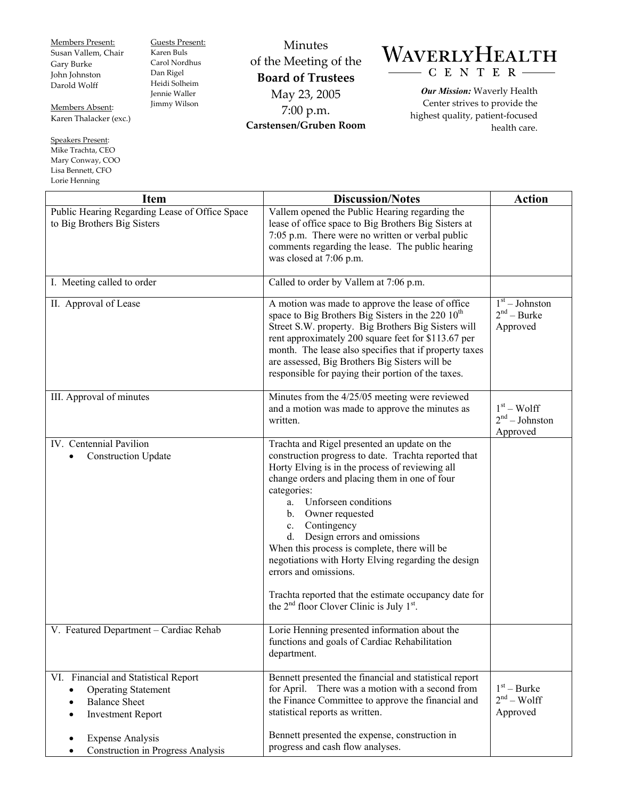Members Present: Susan Vallem, Chair Gary Burke John Johnston Darold Wolff

Guests Present: Karen Buls Carol Nordhus Dan Rigel Heidi Solheim Jennie Waller Jimmy Wilson

Members Absent: Karen Thalacker (exc.)

Speakers Present: Mike Trachta, CEO Mary Conway, COO Lisa Bennett, CFO Lorie Henning

L

Minutes of the Meeting of the **Board of Trustees**  May 23, 2005 7:00 p.m. **Carstensen/Gruben Room** 

## WAVERLYHEALTH - C E N T E R

*Our Mission:* Waverly Health Center strives to provide the highest quality, patient-focused health care.

| <b>Item</b>                                                                                                                                                   | <b>Discussion/Notes</b>                                                                                                                                                                                                                                                                                                                                                                                                                                                                                                                                                                             | <b>Action</b>                                 |
|---------------------------------------------------------------------------------------------------------------------------------------------------------------|-----------------------------------------------------------------------------------------------------------------------------------------------------------------------------------------------------------------------------------------------------------------------------------------------------------------------------------------------------------------------------------------------------------------------------------------------------------------------------------------------------------------------------------------------------------------------------------------------------|-----------------------------------------------|
| Public Hearing Regarding Lease of Office Space<br>to Big Brothers Big Sisters                                                                                 | Vallem opened the Public Hearing regarding the<br>lease of office space to Big Brothers Big Sisters at<br>7:05 p.m. There were no written or verbal public<br>comments regarding the lease. The public hearing<br>was closed at 7:06 p.m.                                                                                                                                                                                                                                                                                                                                                           |                                               |
| I. Meeting called to order                                                                                                                                    | Called to order by Vallem at 7:06 p.m.                                                                                                                                                                                                                                                                                                                                                                                                                                                                                                                                                              |                                               |
| II. Approval of Lease                                                                                                                                         | A motion was made to approve the lease of office<br>space to Big Brothers Big Sisters in the 220 10 <sup>th</sup><br>Street S.W. property. Big Brothers Big Sisters will<br>rent approximately 200 square feet for \$113.67 per<br>month. The lease also specifies that if property taxes<br>are assessed, Big Brothers Big Sisters will be<br>responsible for paying their portion of the taxes.                                                                                                                                                                                                   | $1st - Johnston$<br>$2nd - Burke$<br>Approved |
| III. Approval of minutes                                                                                                                                      | Minutes from the 4/25/05 meeting were reviewed<br>and a motion was made to approve the minutes as<br>written.                                                                                                                                                                                                                                                                                                                                                                                                                                                                                       | $1st - Wolf$<br>$2nd - Johnston$<br>Approved  |
| IV. Centennial Pavilion<br><b>Construction Update</b>                                                                                                         | Trachta and Rigel presented an update on the<br>construction progress to date. Trachta reported that<br>Horty Elving is in the process of reviewing all<br>change orders and placing them in one of four<br>categories:<br>Unforseen conditions<br>a.<br>Owner requested<br>$\mathbf{b}$ .<br>Contingency<br>$c_{-}$<br>Design errors and omissions<br>d.<br>When this process is complete, there will be<br>negotiations with Horty Elving regarding the design<br>errors and omissions.<br>Trachta reported that the estimate occupancy date for<br>the $2nd$ floor Clover Clinic is July $1st$ . |                                               |
| V. Featured Department - Cardiac Rehab                                                                                                                        | Lorie Henning presented information about the<br>functions and goals of Cardiac Rehabilitation<br>department.                                                                                                                                                                                                                                                                                                                                                                                                                                                                                       |                                               |
| VI. Financial and Statistical Report<br><b>Operating Statement</b><br>$\bullet$<br><b>Balance Sheet</b><br>$\bullet$<br><b>Investment Report</b><br>$\bullet$ | Bennett presented the financial and statistical report<br>There was a motion with a second from<br>for April.<br>the Finance Committee to approve the financial and<br>statistical reports as written.                                                                                                                                                                                                                                                                                                                                                                                              | $1st - Burke$<br>$2nd - Wolf$<br>Approved     |
| <b>Expense Analysis</b><br><b>Construction in Progress Analysis</b>                                                                                           | Bennett presented the expense, construction in<br>progress and cash flow analyses.                                                                                                                                                                                                                                                                                                                                                                                                                                                                                                                  |                                               |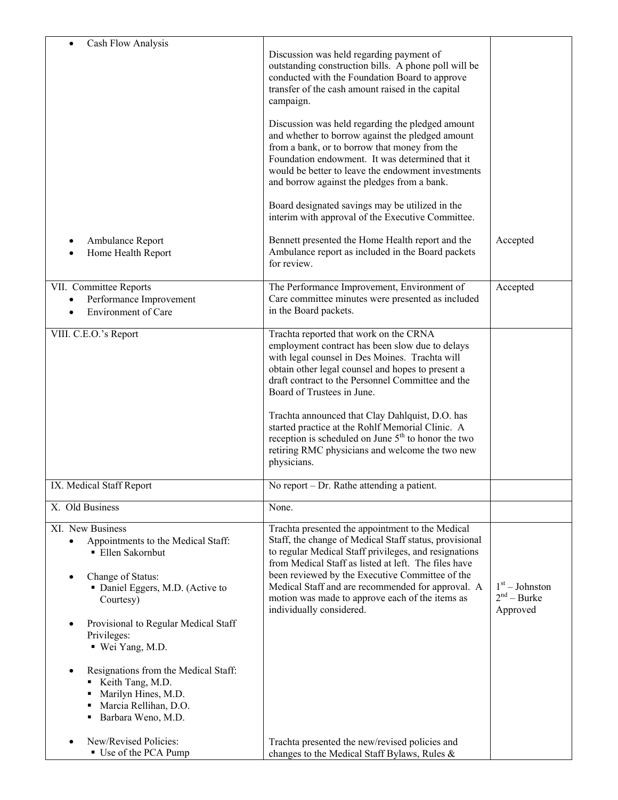| Cash Flow Analysis                                                                                                                                             | Discussion was held regarding payment of<br>outstanding construction bills. A phone poll will be<br>conducted with the Foundation Board to approve<br>transfer of the cash amount raised in the capital<br>campaign.<br>Discussion was held regarding the pledged amount<br>and whether to borrow against the pledged amount                                                                                       |                                               |
|----------------------------------------------------------------------------------------------------------------------------------------------------------------|--------------------------------------------------------------------------------------------------------------------------------------------------------------------------------------------------------------------------------------------------------------------------------------------------------------------------------------------------------------------------------------------------------------------|-----------------------------------------------|
|                                                                                                                                                                | from a bank, or to borrow that money from the<br>Foundation endowment. It was determined that it<br>would be better to leave the endowment investments<br>and borrow against the pledges from a bank.<br>Board designated savings may be utilized in the                                                                                                                                                           |                                               |
|                                                                                                                                                                | interim with approval of the Executive Committee.                                                                                                                                                                                                                                                                                                                                                                  |                                               |
| Ambulance Report<br>Home Health Report                                                                                                                         | Bennett presented the Home Health report and the<br>Ambulance report as included in the Board packets<br>for review.                                                                                                                                                                                                                                                                                               | Accepted                                      |
| VII. Committee Reports<br>Performance Improvement<br>$\bullet$<br><b>Environment of Care</b>                                                                   | The Performance Improvement, Environment of<br>Care committee minutes were presented as included<br>in the Board packets.                                                                                                                                                                                                                                                                                          | Accepted                                      |
| VIII. C.E.O.'s Report                                                                                                                                          | Trachta reported that work on the CRNA<br>employment contract has been slow due to delays<br>with legal counsel in Des Moines. Trachta will<br>obtain other legal counsel and hopes to present a<br>draft contract to the Personnel Committee and the<br>Board of Trustees in June.                                                                                                                                |                                               |
|                                                                                                                                                                | Trachta announced that Clay Dahlquist, D.O. has<br>started practice at the Rohlf Memorial Clinic. A<br>reception is scheduled on June 5 <sup>th</sup> to honor the two<br>retiring RMC physicians and welcome the two new<br>physicians.                                                                                                                                                                           |                                               |
| IX. Medical Staff Report                                                                                                                                       | No report – Dr. Rathe attending a patient.                                                                                                                                                                                                                                                                                                                                                                         |                                               |
| X. Old Business                                                                                                                                                | None.                                                                                                                                                                                                                                                                                                                                                                                                              |                                               |
| XI. New Business<br>Appointments to the Medical Staff:<br>$\bullet$<br>■ Ellen Sakornbut<br>Change of Status:<br>• Daniel Eggers, M.D. (Active to<br>Courtesy) | Trachta presented the appointment to the Medical<br>Staff, the change of Medical Staff status, provisional<br>to regular Medical Staff privileges, and resignations<br>from Medical Staff as listed at left. The files have<br>been reviewed by the Executive Committee of the<br>Medical Staff and are recommended for approval. A<br>motion was made to approve each of the items as<br>individually considered. | $1st - Johnston$<br>$2nd - Burke$<br>Approved |
| Provisional to Regular Medical Staff<br>Privileges:<br>■ Wei Yang, M.D.                                                                                        |                                                                                                                                                                                                                                                                                                                                                                                                                    |                                               |
| Resignations from the Medical Staff:<br>Keith Tang, M.D.<br>Marilyn Hines, M.D.<br>٠<br>Marcia Rellihan, D.O.<br>Barbara Weno, M.D.                            |                                                                                                                                                                                                                                                                                                                                                                                                                    |                                               |
| New/Revised Policies:<br>Use of the PCA Pump                                                                                                                   | Trachta presented the new/revised policies and<br>changes to the Medical Staff Bylaws, Rules &                                                                                                                                                                                                                                                                                                                     |                                               |